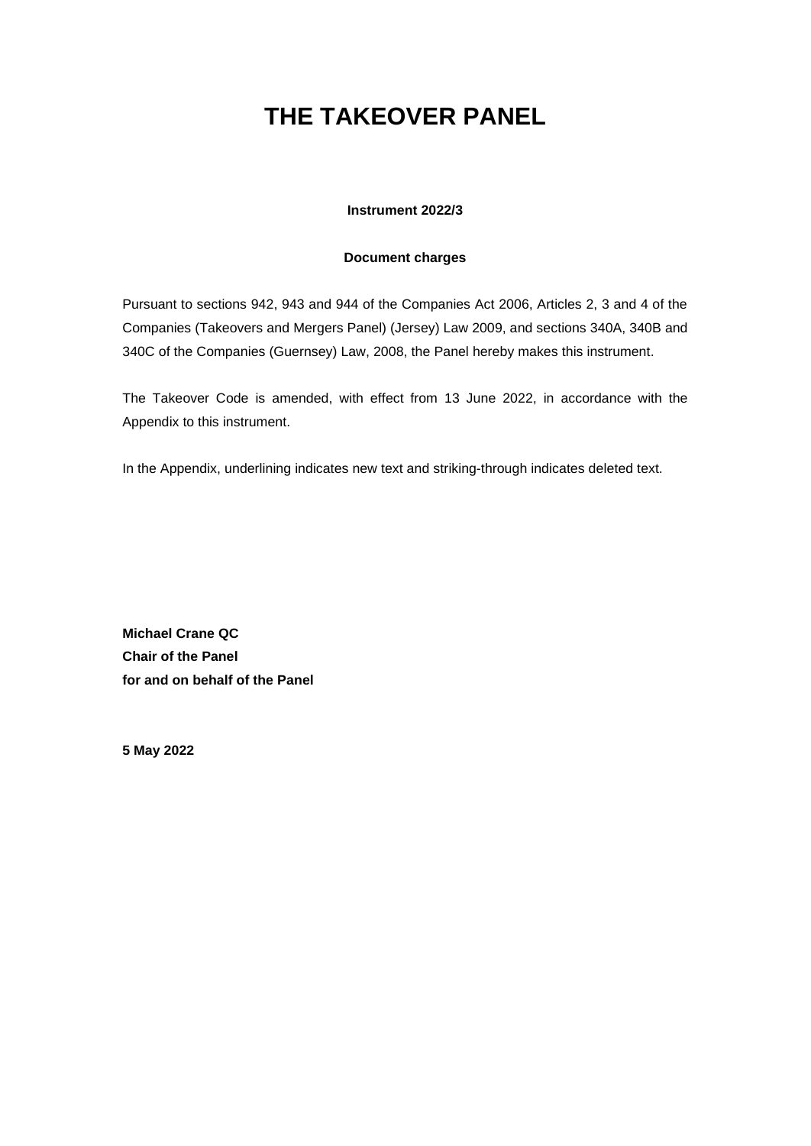# **THE TAKEOVER PANEL**

# **Instrument 2022/3**

# **Document charges**

Pursuant to sections 942, 943 and 944 of the Companies Act 2006, Articles 2, 3 and 4 of the Companies (Takeovers and Mergers Panel) (Jersey) Law 2009, and sections 340A, 340B and 340C of the Companies (Guernsey) Law, 2008, the Panel hereby makes this instrument.

The Takeover Code is amended, with effect from 13 June 2022, in accordance with the Appendix to this instrument.

In the Appendix, underlining indicates new text and striking-through indicates deleted text.

**Michael Crane QC Chair of the Panel for and on behalf of the Panel**

**5 May 2022**